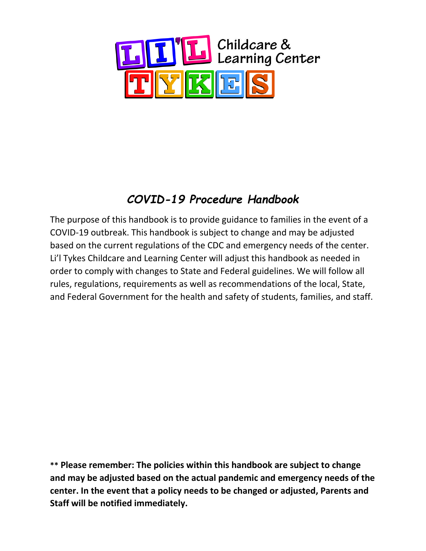

# *COVID-19 Procedure Handbook*

The purpose of this handbook is to provide guidance to families in the event of a COVID-19 outbreak. This handbook is subject to change and may be adjusted based on the current regulations of the CDC and emergency needs of the center. Li'l Tykes Childcare and Learning Center will adjust this handbook as needed in order to comply with changes to State and Federal guidelines. We will follow all rules, regulations, requirements as well as recommendations of the local, State, and Federal Government for the health and safety of students, families, and staff.

**\*\* Please remember: The policies within this handbook are subject to change and may be adjusted based on the actual pandemic and emergency needs of the center. In the event that a policy needs to be changed or adjusted, Parents and Staff will be notified immediately.**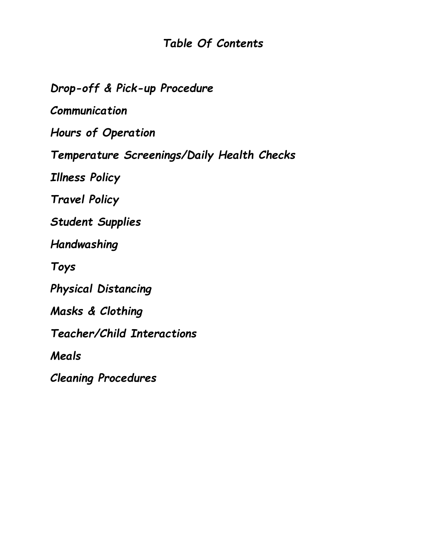## *Table Of Contents*

*Drop-off & Pick-up Procedure Communication Hours of Operation Temperature Screenings/Daily Health Checks Illness Policy Travel Policy Student Supplies Handwashing Toys Physical Distancing Masks & Clothing Teacher/Child Interactions Meals Cleaning Procedures*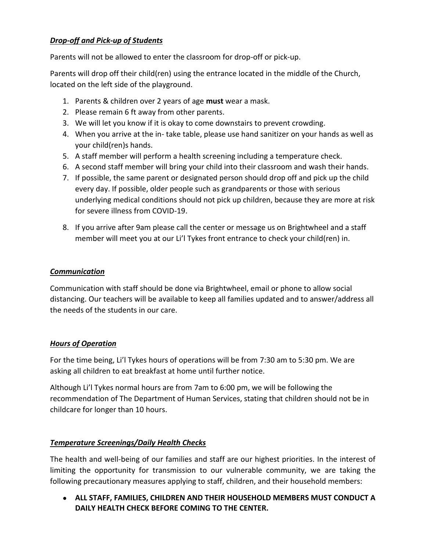## *Drop-off and Pick-up of Students*

Parents will not be allowed to enter the classroom for drop-off or pick-up.

Parents will drop off their child(ren) using the entrance located in the middle of the Church, located on the left side of the playground.

- 1. Parents & children over 2 years of age **must** wear a mask.
- 2. Please remain 6 ft away from other parents.
- 3. We will let you know if it is okay to come downstairs to prevent crowding.
- 4. When you arrive at the in- take table, please use hand sanitizer on your hands as well as your child(ren)s hands.
- 5. A staff member will perform a health screening including a temperature check.
- 6. A second staff member will bring your child into their classroom and wash their hands.
- 7. If possible, the same parent or designated person should drop off and pick up the child every day. If possible, older people such as grandparents or those with serious underlying medical conditions should not pick up children, because they are more at risk for severe illness from COVID-19.
- 8. If you arrive after 9am please call the center or message us on Brightwheel and a staff member will meet you at our Li'l Tykes front entrance to check your child(ren) in.

#### *Communication*

Communication with staff should be done via Brightwheel, email or phone to allow social distancing. Our teachers will be available to keep all families updated and to answer/address all the needs of the students in our care.

#### *Hours of Operation*

For the time being, Li'l Tykes hours of operations will be from 7:30 am to 5:30 pm. We are asking all children to eat breakfast at home until further notice.

Although Li'l Tykes normal hours are from 7am to 6:00 pm, we will be following the recommendation of The Department of Human Services, stating that children should not be in childcare for longer than 10 hours.

#### *Temperature Screenings/Daily Health Checks*

The health and well-being of our families and staff are our highest priorities. In the interest of limiting the opportunity for transmission to our vulnerable community, we are taking the following precautionary measures applying to staff, children, and their household members:

● **ALL STAFF, FAMILIES, CHILDREN AND THEIR HOUSEHOLD MEMBERS MUST CONDUCT A DAILY HEALTH CHECK BEFORE COMING TO THE CENTER.**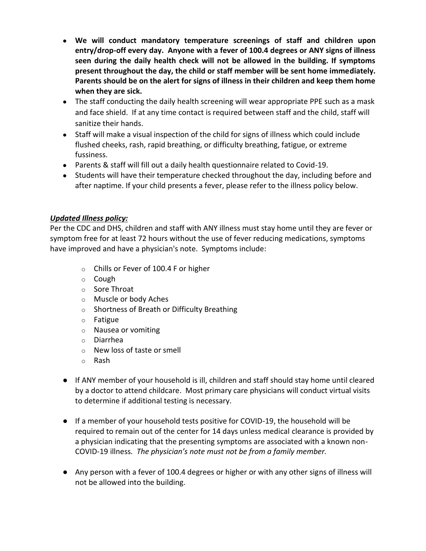- **We will conduct mandatory temperature screenings of staff and children upon entry/drop-off every day. Anyone with a fever of 100.4 degrees or ANY signs of illness seen during the daily health check will not be allowed in the building. If symptoms present throughout the day, the child or staff member will be sent home immediately. Parents should be on the alert for signs of illness in their children and keep them home when they are sick.**
- The staff conducting the daily health screening will wear appropriate PPE such as a mask and face shield. If at any time contact is required between staff and the child, staff will sanitize their hands.
- Staff will make a visual inspection of the child for signs of illness which could include flushed cheeks, rash, rapid breathing, or difficulty breathing, fatigue, or extreme fussiness.
- Parents & staff will fill out a daily health questionnaire related to Covid-19.
- Students will have their temperature checked throughout the day, including before and after naptime. If your child presents a fever, please refer to the illness policy below.

#### *Updated Illness policy:*

Per the CDC and DHS, children and staff with ANY illness must stay home until they are fever or symptom free for at least 72 hours without the use of fever reducing medications, symptoms have improved and have a physician's note. Symptoms include:

- o Chills or Fever of 100.4 F or higher
- o Cough
- o Sore Throat
- o Muscle or body Aches
- o Shortness of Breath or Difficulty Breathing
- o Fatigue
- o Nausea or vomiting
- o Diarrhea
- o New loss of taste or smell
- o Rash
- If ANY member of your household is ill, children and staff should stay home until cleared by a doctor to attend childcare. Most primary care physicians will conduct virtual visits to determine if additional testing is necessary.
- If a member of your household tests positive for COVID-19, the household will be required to remain out of the center for 14 days unless medical clearance is provided by a physician indicating that the presenting symptoms are associated with a known non-COVID-19 illness*. The physician's note must not be from a family member.*
- Any person with a fever of 100.4 degrees or higher or with any other signs of illness will not be allowed into the building.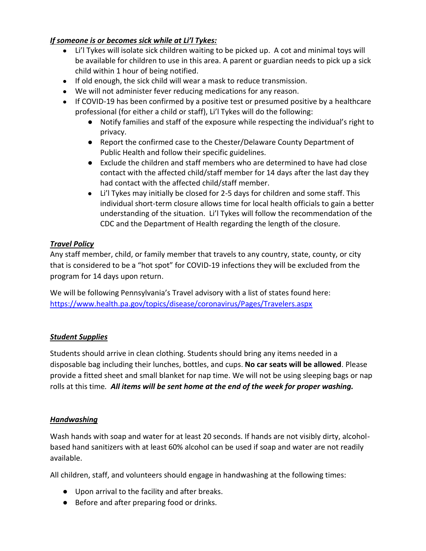## *If someone is or becomes sick while at Li'l Tykes:*

- Li'l Tykes will isolate sick children waiting to be picked up. A cot and minimal toys will be available for children to use in this area. A parent or guardian needs to pick up a sick child within 1 hour of being notified.
- If old enough, the sick child will wear a mask to reduce transmission.
- We will not administer fever reducing medications for any reason.
- If COVID-19 has been confirmed by a positive test or presumed positive by a healthcare professional (for either a child or staff), Li'l Tykes will do the following:
	- Notify families and staff of the exposure while respecting the individual's right to privacy.
	- Report the confirmed case to the Chester/Delaware County Department of Public Health and follow their specific guidelines.
	- Exclude the children and staff members who are determined to have had close contact with the affected child/staff member for 14 days after the last day they had contact with the affected child/staff member.
	- Li'l Tykes may initially be closed for 2-5 days for children and some staff. This individual short-term closure allows time for local health officials to gain a better understanding of the situation. Li'l Tykes will follow the recommendation of the CDC and the Department of Health regarding the length of the closure.

#### *Travel Policy*

Any staff member, child, or family member that travels to any country, state, county, or city that is considered to be a "hot spot" for COVID-19 infections they will be excluded from the program for 14 days upon return.

We will be following Pennsylvania's Travel advisory with a list of states found here: <https://www.health.pa.gov/topics/disease/coronavirus/Pages/Travelers.aspx>

#### *Student Supplies*

Students should arrive in clean clothing. Students should bring any items needed in a disposable bag including their lunches, bottles, and cups. **No car seats will be allowed**. Please provide a fitted sheet and small blanket for nap time. We will not be using sleeping bags or nap rolls at this time*. All items will be sent home at the end of the week for proper washing.* 

#### *Handwashing*

Wash hands with soap and water for at least 20 seconds. If hands are not visibly dirty, alcoholbased hand sanitizers with at least 60% alcohol can be used if soap and water are not readily available.

All children, staff, and volunteers should engage in handwashing at the following times:

- Upon arrival to the facility and after breaks.
- Before and after preparing food or drinks.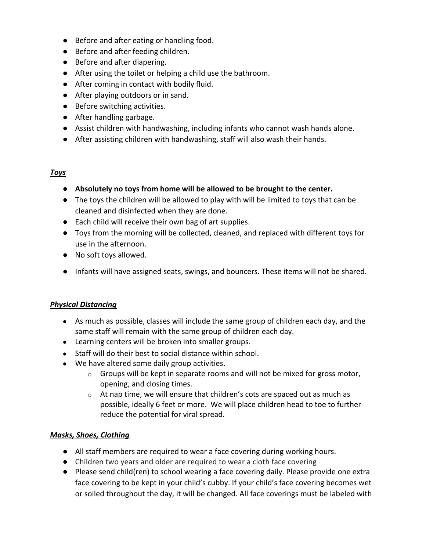- Before and after eating or handling food.
- Before and after feeding children.
- Before and after diapering.
- After using the toilet or helping a child use the bathroom.
- After coming in contact with bodily fluid.
- After playing outdoors or in sand.
- Before switching activities.
- After handling garbage.
- Assist children with handwashing, including infants who cannot wash hands alone.
- After assisting children with handwashing, staff will also wash their hands.

#### *Toys*

- **Absolutely no toys from home will be allowed to be brought to the center.**
- The toys the children will be allowed to play with will be limited to toys that can be cleaned and disinfected when they are done.
- Each child will receive their own bag of art supplies.
- Toys from the morning will be collected, cleaned, and replaced with different toys for use in the afternoon.
- No soft toys allowed.
- Infants will have assigned seats, swings, and bouncers. These items will not be shared.

#### *Physical Distancing*

- As much as possible, classes will include the same group of children each day, and the same staff will remain with the same group of children each day.
- Learning centers will be broken into smaller groups.
- Staff will do their best to social distance within school.
- We have altered some daily group activities.
	- $\circ$  Groups will be kept in separate rooms and will not be mixed for gross motor, opening, and closing times.
	- $\circ$  At nap time, we will ensure that children's cots are spaced out as much as possible, ideally 6 feet or more. We will place children head to toe to further reduce the potential for viral spread.

#### *Masks, Shoes, Clothing*

- All staff members are required to wear a face covering during working hours.
- Children two years and older are required to wear a cloth face covering
- Please send child(ren) to school wearing a face covering daily. Please provide one extra face covering to be kept in your child's cubby. If your child's face covering becomes wet or soiled throughout the day, it will be changed. All face coverings must be labeled with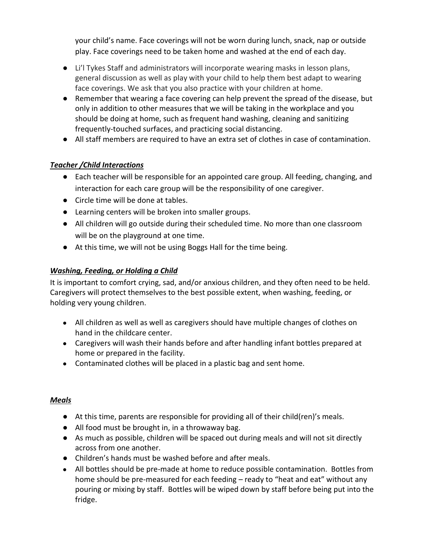your child's name. Face coverings will not be worn during lunch, snack, nap or outside play. Face coverings need to be taken home and washed at the end of each day.

- Li'l Tykes Staff and administrators will incorporate wearing masks in lesson plans, general discussion as well as play with your child to help them best adapt to wearing face coverings. We ask that you also practice with your children at home.
- Remember that wearing a face covering can help prevent the spread of the disease, but only in addition to other measures that we will be taking in the workplace and you should be doing at home, such as frequent hand washing, cleaning and sanitizing frequently-touched surfaces, and practicing social distancing.
- All staff members are required to have an extra set of clothes in case of contamination.

## *Teacher /Child Interactions*

- Each teacher will be responsible for an appointed care group. All feeding, changing, and interaction for each care group will be the responsibility of one caregiver.
- Circle time will be done at tables.
- Learning centers will be broken into smaller groups.
- All children will go outside during their scheduled time. No more than one classroom will be on the playground at one time.
- At this time, we will not be using Boggs Hall for the time being.

#### *Washing, Feeding, or Holding a Child*

It is important to comfort crying, sad, and/or anxious children, and they often need to be held. Caregivers will protect themselves to the best possible extent, when washing, feeding, or holding very young children.

- All children as well as well as caregivers should have multiple changes of clothes on hand in the childcare center.
- Caregivers will wash their hands before and after handling infant bottles prepared at home or prepared in the facility.
- Contaminated clothes will be placed in a plastic bag and sent home.

#### *Meals*

- At this time, parents are responsible for providing all of their child(ren)'s meals.
- All food must be brought in, in a throwaway bag.
- As much as possible, children will be spaced out during meals and will not sit directly across from one another.
- Children's hands must be washed before and after meals.
- All bottles should be pre-made at home to reduce possible contamination. Bottles from home should be pre-measured for each feeding – ready to "heat and eat" without any pouring or mixing by staff. Bottles will be wiped down by staff before being put into the fridge.